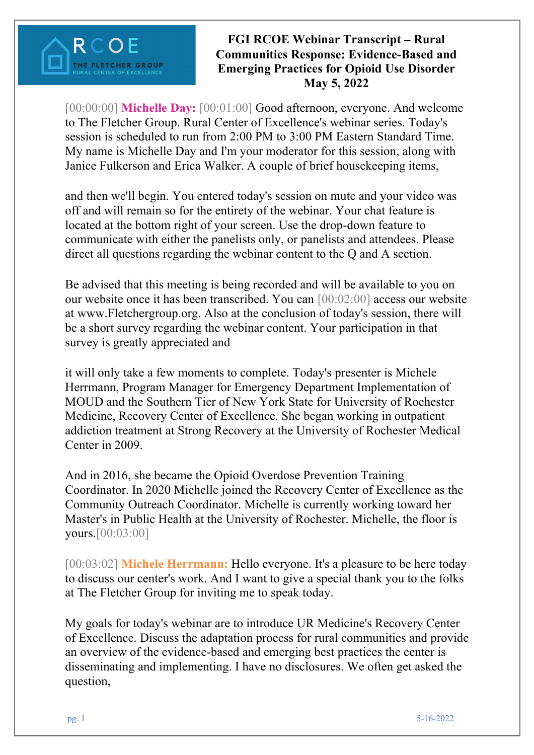

[00:00:00] **Michelle Day:** [00:01:00] Good afternoon, everyone. And welcome to The Fletcher Group. Rural Center of Excellence's webinar series. Today's session is scheduled to run from 2:00 PM to 3:00 PM Eastern Standard Time. My name is Michelle Day and I'm your moderator for this session, along with Janice Fulkerson and Erica Walker. A couple of brief housekeeping items,

and then we'll begin. You entered today's session on mute and your video was off and will remain so for the entirety of the webinar. Your chat feature is located at the bottom right of your screen. Use the drop-down feature to communicate with either the panelists only, or panelists and attendees. Please direct all questions regarding the webinar content to the Q and A section.

Be advised that this meeting is being recorded and will be available to you on our website once it has been transcribed. You can [00:02:00] access our website at www.Fletchergroup.org. Also at the conclusion of today's session, there will be a short survey regarding the webinar content. Your participation in that survey is greatly appreciated and

it will only take a few moments to complete. Today's presenter is Michele Herrmann, Program Manager for Emergency Department Implementation of MOUD and the Southern Tier of New York State for University of Rochester Medicine, Recovery Center of Excellence. She began working in outpatient addiction treatment at Strong Recovery at the University of Rochester Medical Center in 2009.

And in 2016, she became the Opioid Overdose Prevention Training Coordinator. In 2020 Michelle joined the Recovery Center of Excellence as the Community Outreach Coordinator. Michelle is currently working toward her Master's in Public Health at the University of Rochester. Michelle, the floor is yours.[00:03:00]

[00:03:02] **Michele Herrmann:** Hello everyone. It's a pleasure to be here today to discuss our center's work. And I want to give a special thank you to the folks at The Fletcher Group for inviting me to speak today.

My goals for today's webinar are to introduce UR Medicine's Recovery Center of Excellence. Discuss the adaptation process for rural communities and provide an overview of the evidence-based and emerging best practices the center is disseminating and implementing. I have no disclosures. We often get asked the question,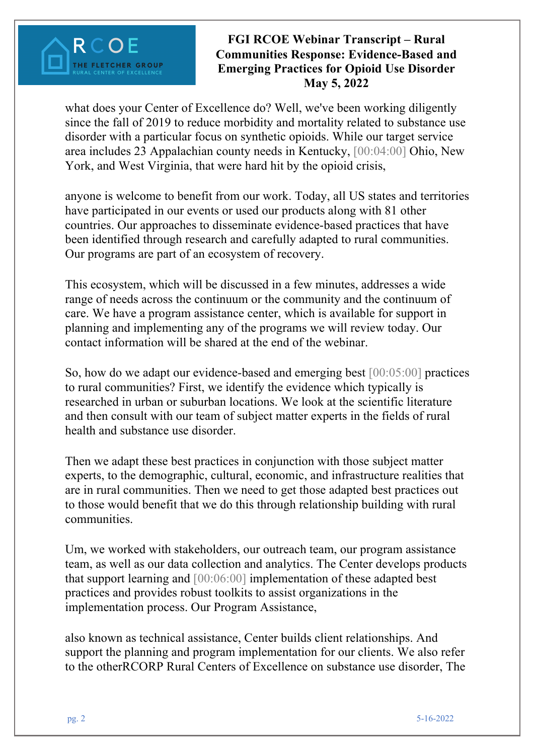### **FGI RCOE Webinar Transcript – Rural Communities Response: Evidence-Based and Emerging Practices for Opioid Use Disorder May 5, 2022**

what does your Center of Excellence do? Well, we've been working diligently since the fall of 2019 to reduce morbidity and mortality related to substance use disorder with a particular focus on synthetic opioids. While our target service area includes 23 Appalachian county needs in Kentucky, [00:04:00] Ohio, New York, and West Virginia, that were hard hit by the opioid crisis,

anyone is welcome to benefit from our work. Today, all US states and territories have participated in our events or used our products along with 81 other countries. Our approaches to disseminate evidence-based practices that have been identified through research and carefully adapted to rural communities. Our programs are part of an ecosystem of recovery.

This ecosystem, which will be discussed in a few minutes, addresses a wide range of needs across the continuum or the community and the continuum of care. We have a program assistance center, which is available for support in planning and implementing any of the programs we will review today. Our contact information will be shared at the end of the webinar.

So, how do we adapt our evidence-based and emerging best [00:05:00] practices to rural communities? First, we identify the evidence which typically is researched in urban or suburban locations. We look at the scientific literature and then consult with our team of subject matter experts in the fields of rural health and substance use disorder.

Then we adapt these best practices in conjunction with those subject matter experts, to the demographic, cultural, economic, and infrastructure realities that are in rural communities. Then we need to get those adapted best practices out to those would benefit that we do this through relationship building with rural communities.

Um, we worked with stakeholders, our outreach team, our program assistance team, as well as our data collection and analytics. The Center develops products that support learning and [00:06:00] implementation of these adapted best practices and provides robust toolkits to assist organizations in the implementation process. Our Program Assistance,

also known as technical assistance, Center builds client relationships. And support the planning and program implementation for our clients. We also refer to the otherRCORP Rural Centers of Excellence on substance use disorder, The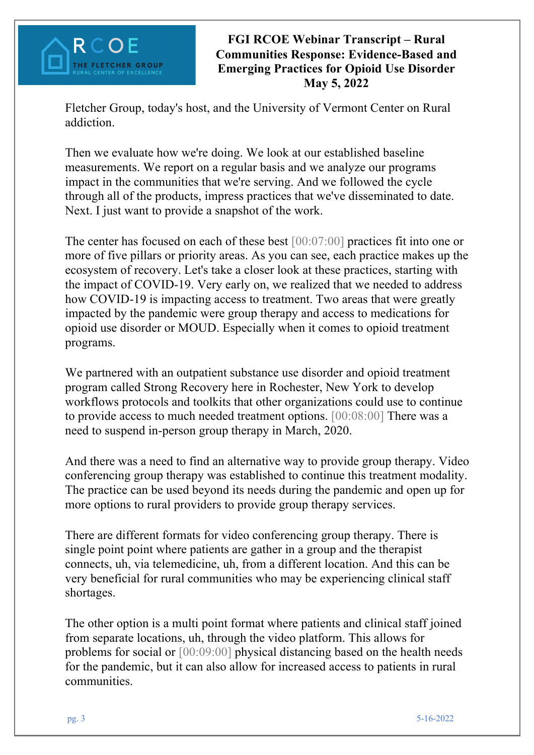

Fletcher Group, today's host, and the University of Vermont Center on Rural addiction.

Then we evaluate how we're doing. We look at our established baseline measurements. We report on a regular basis and we analyze our programs impact in the communities that we're serving. And we followed the cycle through all of the products, impress practices that we've disseminated to date. Next. I just want to provide a snapshot of the work.

The center has focused on each of these best [00:07:00] practices fit into one or more of five pillars or priority areas. As you can see, each practice makes up the ecosystem of recovery. Let's take a closer look at these practices, starting with the impact of COVID-19. Very early on, we realized that we needed to address how COVID-19 is impacting access to treatment. Two areas that were greatly impacted by the pandemic were group therapy and access to medications for opioid use disorder or MOUD. Especially when it comes to opioid treatment programs.

We partnered with an outpatient substance use disorder and opioid treatment program called Strong Recovery here in Rochester, New York to develop workflows protocols and toolkits that other organizations could use to continue to provide access to much needed treatment options. [00:08:00] There was a need to suspend in-person group therapy in March, 2020.

And there was a need to find an alternative way to provide group therapy. Video conferencing group therapy was established to continue this treatment modality. The practice can be used beyond its needs during the pandemic and open up for more options to rural providers to provide group therapy services.

There are different formats for video conferencing group therapy. There is single point point where patients are gather in a group and the therapist connects, uh, via telemedicine, uh, from a different location. And this can be very beneficial for rural communities who may be experiencing clinical staff shortages.

The other option is a multi point format where patients and clinical staff joined from separate locations, uh, through the video platform. This allows for problems for social or [00:09:00] physical distancing based on the health needs for the pandemic, but it can also allow for increased access to patients in rural communities.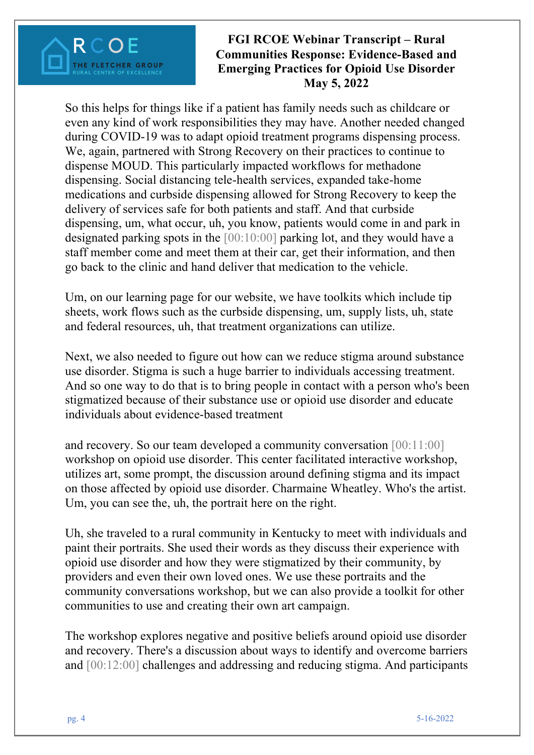### **FGI RCOE Webinar Transcript – Rural Communities Response: Evidence-Based and Emerging Practices for Opioid Use Disorder May 5, 2022**

So this helps for things like if a patient has family needs such as childcare or even any kind of work responsibilities they may have. Another needed changed during COVID-19 was to adapt opioid treatment programs dispensing process. We, again, partnered with Strong Recovery on their practices to continue to dispense MOUD. This particularly impacted workflows for methadone dispensing. Social distancing tele-health services, expanded take-home medications and curbside dispensing allowed for Strong Recovery to keep the delivery of services safe for both patients and staff. And that curbside dispensing, um, what occur, uh, you know, patients would come in and park in designated parking spots in the [00:10:00] parking lot, and they would have a staff member come and meet them at their car, get their information, and then go back to the clinic and hand deliver that medication to the vehicle.

Um, on our learning page for our website, we have toolkits which include tip sheets, work flows such as the curbside dispensing, um, supply lists, uh, state and federal resources, uh, that treatment organizations can utilize.

Next, we also needed to figure out how can we reduce stigma around substance use disorder. Stigma is such a huge barrier to individuals accessing treatment. And so one way to do that is to bring people in contact with a person who's been stigmatized because of their substance use or opioid use disorder and educate individuals about evidence-based treatment

and recovery. So our team developed a community conversation [00:11:00] workshop on opioid use disorder. This center facilitated interactive workshop, utilizes art, some prompt, the discussion around defining stigma and its impact on those affected by opioid use disorder. Charmaine Wheatley. Who's the artist. Um, you can see the, uh, the portrait here on the right.

Uh, she traveled to a rural community in Kentucky to meet with individuals and paint their portraits. She used their words as they discuss their experience with opioid use disorder and how they were stigmatized by their community, by providers and even their own loved ones. We use these portraits and the community conversations workshop, but we can also provide a toolkit for other communities to use and creating their own art campaign.

The workshop explores negative and positive beliefs around opioid use disorder and recovery. There's a discussion about ways to identify and overcome barriers and [00:12:00] challenges and addressing and reducing stigma. And participants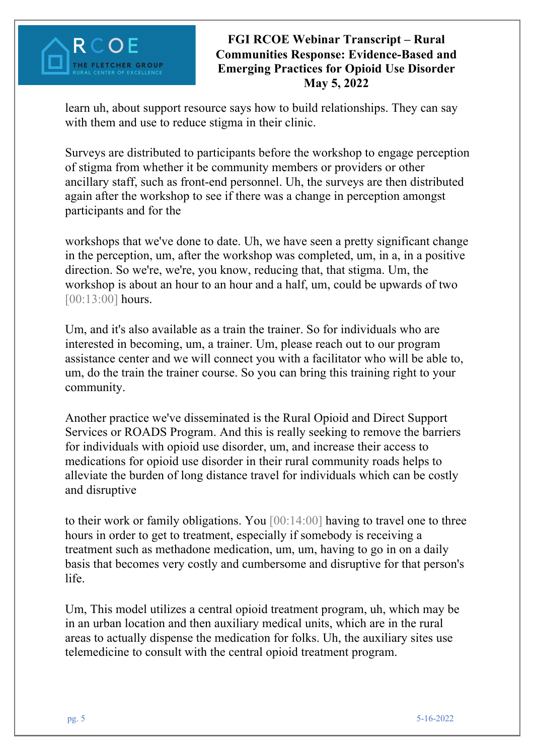### **FGI RCOE Webinar Transcript – Rural Communities Response: Evidence-Based and Emerging Practices for Opioid Use Disorder May 5, 2022**

learn uh, about support resource says how to build relationships. They can say with them and use to reduce stigma in their clinic.

Surveys are distributed to participants before the workshop to engage perception of stigma from whether it be community members or providers or other ancillary staff, such as front-end personnel. Uh, the surveys are then distributed again after the workshop to see if there was a change in perception amongst participants and for the

workshops that we've done to date. Uh, we have seen a pretty significant change in the perception, um, after the workshop was completed, um, in a, in a positive direction. So we're, we're, you know, reducing that, that stigma. Um, the workshop is about an hour to an hour and a half, um, could be upwards of two [00:13:00] hours.

Um, and it's also available as a train the trainer. So for individuals who are interested in becoming, um, a trainer. Um, please reach out to our program assistance center and we will connect you with a facilitator who will be able to, um, do the train the trainer course. So you can bring this training right to your community.

Another practice we've disseminated is the Rural Opioid and Direct Support Services or ROADS Program. And this is really seeking to remove the barriers for individuals with opioid use disorder, um, and increase their access to medications for opioid use disorder in their rural community roads helps to alleviate the burden of long distance travel for individuals which can be costly and disruptive

to their work or family obligations. You [00:14:00] having to travel one to three hours in order to get to treatment, especially if somebody is receiving a treatment such as methadone medication, um, um, having to go in on a daily basis that becomes very costly and cumbersome and disruptive for that person's life.

Um, This model utilizes a central opioid treatment program, uh, which may be in an urban location and then auxiliary medical units, which are in the rural areas to actually dispense the medication for folks. Uh, the auxiliary sites use telemedicine to consult with the central opioid treatment program.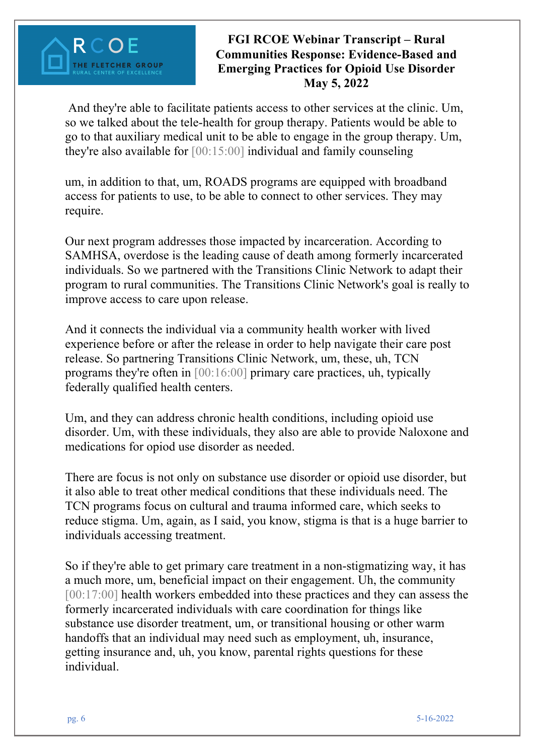### **FGI RCOE Webinar Transcript – Rural Communities Response: Evidence-Based and Emerging Practices for Opioid Use Disorder May 5, 2022**

And they're able to facilitate patients access to other services at the clinic. Um, so we talked about the tele-health for group therapy. Patients would be able to go to that auxiliary medical unit to be able to engage in the group therapy. Um, they're also available for [00:15:00] individual and family counseling

um, in addition to that, um, ROADS programs are equipped with broadband access for patients to use, to be able to connect to other services. They may require.

Our next program addresses those impacted by incarceration. According to SAMHSA, overdose is the leading cause of death among formerly incarcerated individuals. So we partnered with the Transitions Clinic Network to adapt their program to rural communities. The Transitions Clinic Network's goal is really to improve access to care upon release.

And it connects the individual via a community health worker with lived experience before or after the release in order to help navigate their care post release. So partnering Transitions Clinic Network, um, these, uh, TCN programs they're often in [00:16:00] primary care practices, uh, typically federally qualified health centers.

Um, and they can address chronic health conditions, including opioid use disorder. Um, with these individuals, they also are able to provide Naloxone and medications for opiod use disorder as needed.

There are focus is not only on substance use disorder or opioid use disorder, but it also able to treat other medical conditions that these individuals need. The TCN programs focus on cultural and trauma informed care, which seeks to reduce stigma. Um, again, as I said, you know, stigma is that is a huge barrier to individuals accessing treatment.

So if they're able to get primary care treatment in a non-stigmatizing way, it has a much more, um, beneficial impact on their engagement. Uh, the community [00:17:00] health workers embedded into these practices and they can assess the formerly incarcerated individuals with care coordination for things like substance use disorder treatment, um, or transitional housing or other warm handoffs that an individual may need such as employment, uh, insurance, getting insurance and, uh, you know, parental rights questions for these individual.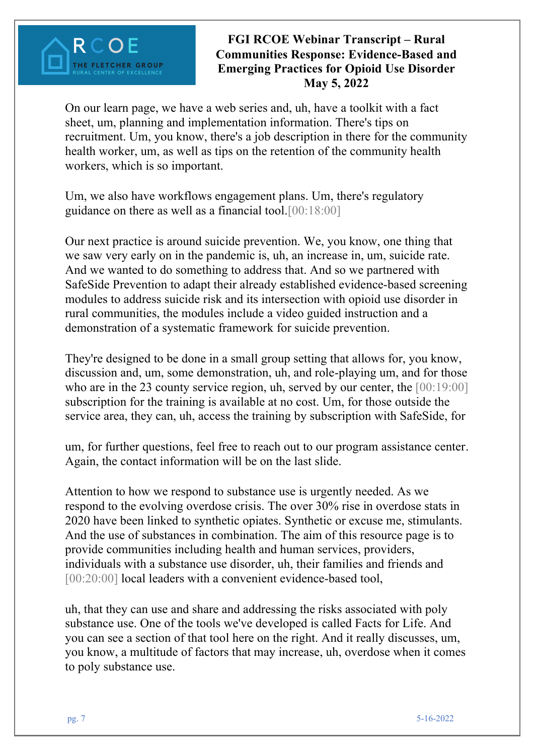On our learn page, we have a web series and, uh, have a toolkit with a fact sheet, um, planning and implementation information. There's tips on recruitment. Um, you know, there's a job description in there for the community health worker, um, as well as tips on the retention of the community health workers, which is so important.

Um, we also have workflows engagement plans. Um, there's regulatory guidance on there as well as a financial tool.[00:18:00]

Our next practice is around suicide prevention. We, you know, one thing that we saw very early on in the pandemic is, uh, an increase in, um, suicide rate. And we wanted to do something to address that. And so we partnered with SafeSide Prevention to adapt their already established evidence-based screening modules to address suicide risk and its intersection with opioid use disorder in rural communities, the modules include a video guided instruction and a demonstration of a systematic framework for suicide prevention.

They're designed to be done in a small group setting that allows for, you know, discussion and, um, some demonstration, uh, and role-playing um, and for those who are in the 23 county service region, uh, served by our center, the [00:19:00] subscription for the training is available at no cost. Um, for those outside the service area, they can, uh, access the training by subscription with SafeSide, for

um, for further questions, feel free to reach out to our program assistance center. Again, the contact information will be on the last slide.

Attention to how we respond to substance use is urgently needed. As we respond to the evolving overdose crisis. The over 30% rise in overdose stats in 2020 have been linked to synthetic opiates. Synthetic or excuse me, stimulants. And the use of substances in combination. The aim of this resource page is to provide communities including health and human services, providers, individuals with a substance use disorder, uh, their families and friends and [00:20:00] local leaders with a convenient evidence-based tool,

uh, that they can use and share and addressing the risks associated with poly substance use. One of the tools we've developed is called Facts for Life. And you can see a section of that tool here on the right. And it really discusses, um, you know, a multitude of factors that may increase, uh, overdose when it comes to poly substance use.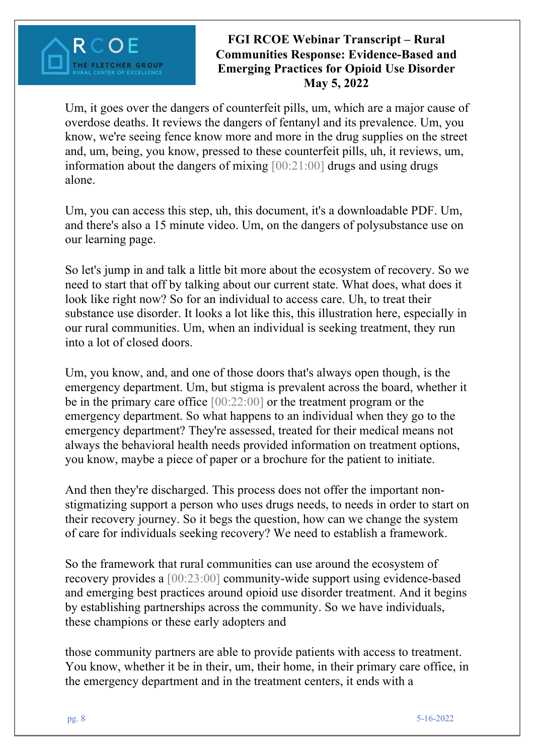### **FGI RCOE Webinar Transcript – Rural Communities Response: Evidence-Based and Emerging Practices for Opioid Use Disorder May 5, 2022**

Um, it goes over the dangers of counterfeit pills, um, which are a major cause of overdose deaths. It reviews the dangers of fentanyl and its prevalence. Um, you know, we're seeing fence know more and more in the drug supplies on the street and, um, being, you know, pressed to these counterfeit pills, uh, it reviews, um, information about the dangers of mixing [00:21:00] drugs and using drugs alone.

Um, you can access this step, uh, this document, it's a downloadable PDF. Um, and there's also a 15 minute video. Um, on the dangers of polysubstance use on our learning page.

So let's jump in and talk a little bit more about the ecosystem of recovery. So we need to start that off by talking about our current state. What does, what does it look like right now? So for an individual to access care. Uh, to treat their substance use disorder. It looks a lot like this, this illustration here, especially in our rural communities. Um, when an individual is seeking treatment, they run into a lot of closed doors.

Um, you know, and, and one of those doors that's always open though, is the emergency department. Um, but stigma is prevalent across the board, whether it be in the primary care office [00:22:00] or the treatment program or the emergency department. So what happens to an individual when they go to the emergency department? They're assessed, treated for their medical means not always the behavioral health needs provided information on treatment options, you know, maybe a piece of paper or a brochure for the patient to initiate.

And then they're discharged. This process does not offer the important nonstigmatizing support a person who uses drugs needs, to needs in order to start on their recovery journey. So it begs the question, how can we change the system of care for individuals seeking recovery? We need to establish a framework.

So the framework that rural communities can use around the ecosystem of recovery provides a [00:23:00] community-wide support using evidence-based and emerging best practices around opioid use disorder treatment. And it begins by establishing partnerships across the community. So we have individuals, these champions or these early adopters and

those community partners are able to provide patients with access to treatment. You know, whether it be in their, um, their home, in their primary care office, in the emergency department and in the treatment centers, it ends with a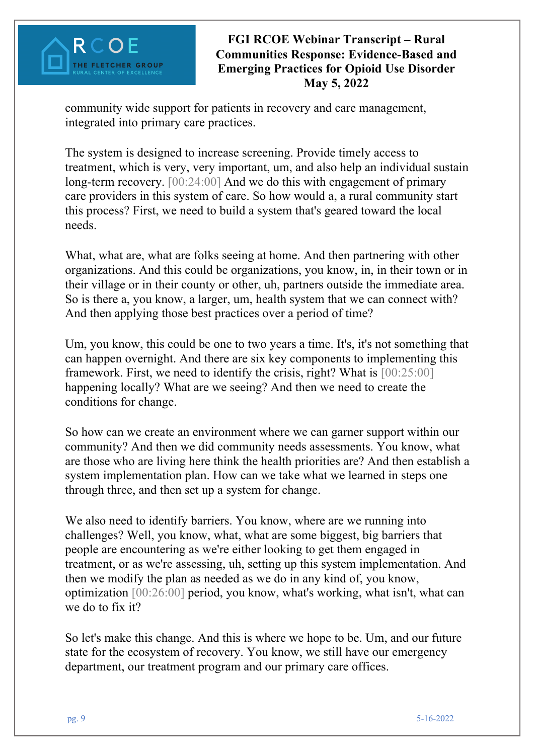### **FGI RCOE Webinar Transcript – Rural Communities Response: Evidence-Based and Emerging Practices for Opioid Use Disorder May 5, 2022**

community wide support for patients in recovery and care management, integrated into primary care practices.

The system is designed to increase screening. Provide timely access to treatment, which is very, very important, um, and also help an individual sustain long-term recovery. [00:24:00] And we do this with engagement of primary care providers in this system of care. So how would a, a rural community start this process? First, we need to build a system that's geared toward the local needs.

What, what are, what are folks seeing at home. And then partnering with other organizations. And this could be organizations, you know, in, in their town or in their village or in their county or other, uh, partners outside the immediate area. So is there a, you know, a larger, um, health system that we can connect with? And then applying those best practices over a period of time?

Um, you know, this could be one to two years a time. It's, it's not something that can happen overnight. And there are six key components to implementing this framework. First, we need to identify the crisis, right? What is [00:25:00] happening locally? What are we seeing? And then we need to create the conditions for change.

So how can we create an environment where we can garner support within our community? And then we did community needs assessments. You know, what are those who are living here think the health priorities are? And then establish a system implementation plan. How can we take what we learned in steps one through three, and then set up a system for change.

We also need to identify barriers. You know, where are we running into challenges? Well, you know, what, what are some biggest, big barriers that people are encountering as we're either looking to get them engaged in treatment, or as we're assessing, uh, setting up this system implementation. And then we modify the plan as needed as we do in any kind of, you know, optimization [00:26:00] period, you know, what's working, what isn't, what can we do to fix it?

So let's make this change. And this is where we hope to be. Um, and our future state for the ecosystem of recovery. You know, we still have our emergency department, our treatment program and our primary care offices.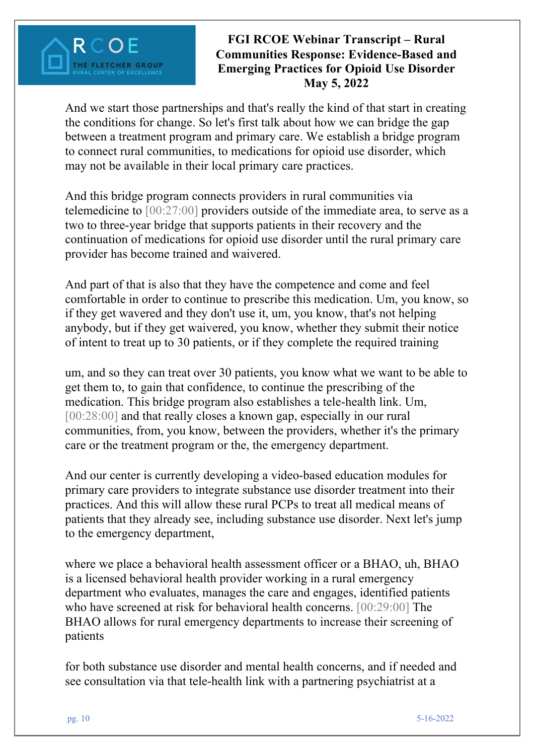### **FGI RCOE Webinar Transcript – Rural Communities Response: Evidence-Based and Emerging Practices for Opioid Use Disorder May 5, 2022**

And we start those partnerships and that's really the kind of that start in creating the conditions for change. So let's first talk about how we can bridge the gap between a treatment program and primary care. We establish a bridge program to connect rural communities, to medications for opioid use disorder, which may not be available in their local primary care practices.

And this bridge program connects providers in rural communities via telemedicine to [00:27:00] providers outside of the immediate area, to serve as a two to three-year bridge that supports patients in their recovery and the continuation of medications for opioid use disorder until the rural primary care provider has become trained and waivered.

And part of that is also that they have the competence and come and feel comfortable in order to continue to prescribe this medication. Um, you know, so if they get wavered and they don't use it, um, you know, that's not helping anybody, but if they get waivered, you know, whether they submit their notice of intent to treat up to 30 patients, or if they complete the required training

um, and so they can treat over 30 patients, you know what we want to be able to get them to, to gain that confidence, to continue the prescribing of the medication. This bridge program also establishes a tele-health link. Um, [00:28:00] and that really closes a known gap, especially in our rural communities, from, you know, between the providers, whether it's the primary care or the treatment program or the, the emergency department.

And our center is currently developing a video-based education modules for primary care providers to integrate substance use disorder treatment into their practices. And this will allow these rural PCPs to treat all medical means of patients that they already see, including substance use disorder. Next let's jump to the emergency department,

where we place a behavioral health assessment officer or a BHAO, uh, BHAO is a licensed behavioral health provider working in a rural emergency department who evaluates, manages the care and engages, identified patients who have screened at risk for behavioral health concerns. [00:29:00] The BHAO allows for rural emergency departments to increase their screening of patients

for both substance use disorder and mental health concerns, and if needed and see consultation via that tele-health link with a partnering psychiatrist at a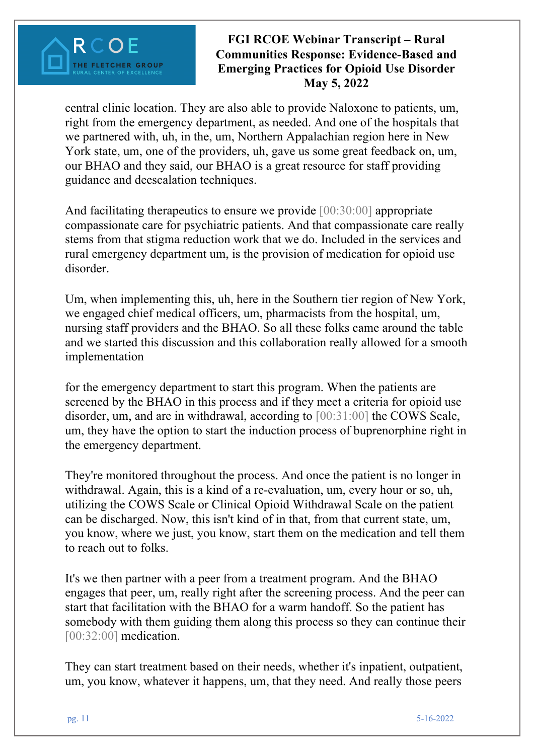### **FGI RCOE Webinar Transcript – Rural Communities Response: Evidence-Based and Emerging Practices for Opioid Use Disorder May 5, 2022**

central clinic location. They are also able to provide Naloxone to patients, um, right from the emergency department, as needed. And one of the hospitals that we partnered with, uh, in the, um, Northern Appalachian region here in New York state, um, one of the providers, uh, gave us some great feedback on, um, our BHAO and they said, our BHAO is a great resource for staff providing guidance and deescalation techniques.

And facilitating therapeutics to ensure we provide [00:30:00] appropriate compassionate care for psychiatric patients. And that compassionate care really stems from that stigma reduction work that we do. Included in the services and rural emergency department um, is the provision of medication for opioid use disorder.

Um, when implementing this, uh, here in the Southern tier region of New York, we engaged chief medical officers, um, pharmacists from the hospital, um, nursing staff providers and the BHAO. So all these folks came around the table and we started this discussion and this collaboration really allowed for a smooth implementation

for the emergency department to start this program. When the patients are screened by the BHAO in this process and if they meet a criteria for opioid use disorder, um, and are in withdrawal, according to [00:31:00] the COWS Scale, um, they have the option to start the induction process of buprenorphine right in the emergency department.

They're monitored throughout the process. And once the patient is no longer in withdrawal. Again, this is a kind of a re-evaluation, um, every hour or so, uh, utilizing the COWS Scale or Clinical Opioid Withdrawal Scale on the patient can be discharged. Now, this isn't kind of in that, from that current state, um, you know, where we just, you know, start them on the medication and tell them to reach out to folks.

It's we then partner with a peer from a treatment program. And the BHAO engages that peer, um, really right after the screening process. And the peer can start that facilitation with the BHAO for a warm handoff. So the patient has somebody with them guiding them along this process so they can continue their [00:32:00] medication.

They can start treatment based on their needs, whether it's inpatient, outpatient, um, you know, whatever it happens, um, that they need. And really those peers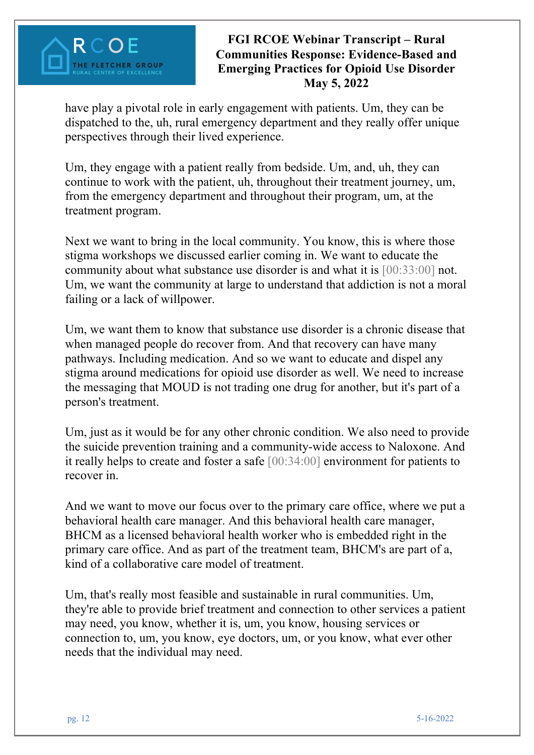### **FGI RCOE Webinar Transcript – Rural Communities Response: Evidence-Based and Emerging Practices for Opioid Use Disorder May 5, 2022**

have play a pivotal role in early engagement with patients. Um, they can be dispatched to the, uh, rural emergency department and they really offer unique perspectives through their lived experience.

Um, they engage with a patient really from bedside. Um, and, uh, they can continue to work with the patient, uh, throughout their treatment journey, um, from the emergency department and throughout their program, um, at the treatment program.

Next we want to bring in the local community. You know, this is where those stigma workshops we discussed earlier coming in. We want to educate the community about what substance use disorder is and what it is [00:33:00] not. Um, we want the community at large to understand that addiction is not a moral failing or a lack of willpower.

Um, we want them to know that substance use disorder is a chronic disease that when managed people do recover from. And that recovery can have many pathways. Including medication. And so we want to educate and dispel any stigma around medications for opioid use disorder as well. We need to increase the messaging that MOUD is not trading one drug for another, but it's part of a person's treatment.

Um, just as it would be for any other chronic condition. We also need to provide the suicide prevention training and a community-wide access to Naloxone. And it really helps to create and foster a safe [00:34:00] environment for patients to recover in.

And we want to move our focus over to the primary care office, where we put a behavioral health care manager. And this behavioral health care manager, BHCM as a licensed behavioral health worker who is embedded right in the primary care office. And as part of the treatment team, BHCM's are part of a, kind of a collaborative care model of treatment.

Um, that's really most feasible and sustainable in rural communities. Um, they're able to provide brief treatment and connection to other services a patient may need, you know, whether it is, um, you know, housing services or connection to, um, you know, eye doctors, um, or you know, what ever other needs that the individual may need.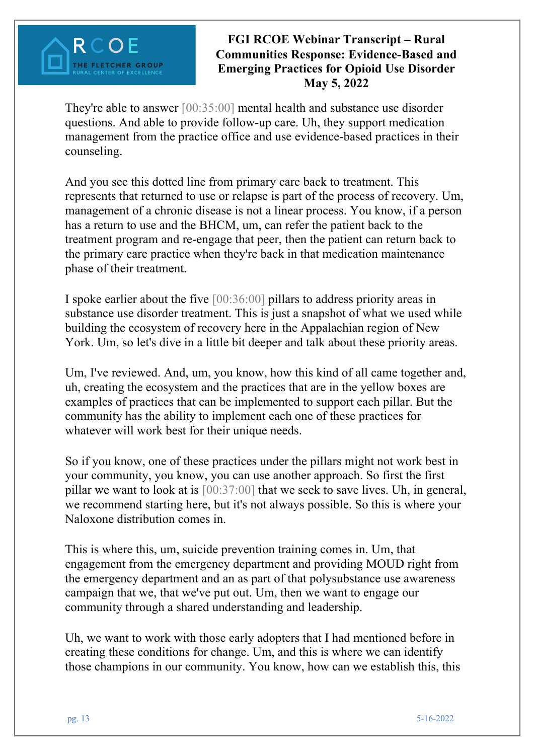### **FGI RCOE Webinar Transcript – Rural Communities Response: Evidence-Based and Emerging Practices for Opioid Use Disorder May 5, 2022**

They're able to answer [00:35:00] mental health and substance use disorder questions. And able to provide follow-up care. Uh, they support medication management from the practice office and use evidence-based practices in their counseling.

And you see this dotted line from primary care back to treatment. This represents that returned to use or relapse is part of the process of recovery. Um, management of a chronic disease is not a linear process. You know, if a person has a return to use and the BHCM, um, can refer the patient back to the treatment program and re-engage that peer, then the patient can return back to the primary care practice when they're back in that medication maintenance phase of their treatment.

I spoke earlier about the five [00:36:00] pillars to address priority areas in substance use disorder treatment. This is just a snapshot of what we used while building the ecosystem of recovery here in the Appalachian region of New York. Um, so let's dive in a little bit deeper and talk about these priority areas.

Um, I've reviewed. And, um, you know, how this kind of all came together and, uh, creating the ecosystem and the practices that are in the yellow boxes are examples of practices that can be implemented to support each pillar. But the community has the ability to implement each one of these practices for whatever will work best for their unique needs.

So if you know, one of these practices under the pillars might not work best in your community, you know, you can use another approach. So first the first pillar we want to look at is [00:37:00] that we seek to save lives. Uh, in general, we recommend starting here, but it's not always possible. So this is where your Naloxone distribution comes in.

This is where this, um, suicide prevention training comes in. Um, that engagement from the emergency department and providing MOUD right from the emergency department and an as part of that polysubstance use awareness campaign that we, that we've put out. Um, then we want to engage our community through a shared understanding and leadership.

Uh, we want to work with those early adopters that I had mentioned before in creating these conditions for change. Um, and this is where we can identify those champions in our community. You know, how can we establish this, this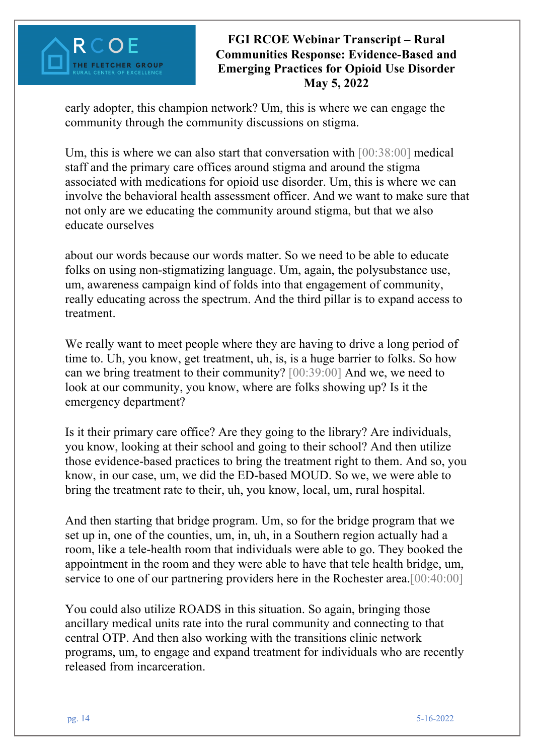early adopter, this champion network? Um, this is where we can engage the community through the community discussions on stigma.

Um, this is where we can also start that conversation with [00:38:00] medical staff and the primary care offices around stigma and around the stigma associated with medications for opioid use disorder. Um, this is where we can involve the behavioral health assessment officer. And we want to make sure that not only are we educating the community around stigma, but that we also educate ourselves

about our words because our words matter. So we need to be able to educate folks on using non-stigmatizing language. Um, again, the polysubstance use, um, awareness campaign kind of folds into that engagement of community, really educating across the spectrum. And the third pillar is to expand access to treatment.

We really want to meet people where they are having to drive a long period of time to. Uh, you know, get treatment, uh, is, is a huge barrier to folks. So how can we bring treatment to their community? [00:39:00] And we, we need to look at our community, you know, where are folks showing up? Is it the emergency department?

Is it their primary care office? Are they going to the library? Are individuals, you know, looking at their school and going to their school? And then utilize those evidence-based practices to bring the treatment right to them. And so, you know, in our case, um, we did the ED-based MOUD. So we, we were able to bring the treatment rate to their, uh, you know, local, um, rural hospital.

And then starting that bridge program. Um, so for the bridge program that we set up in, one of the counties, um, in, uh, in a Southern region actually had a room, like a tele-health room that individuals were able to go. They booked the appointment in the room and they were able to have that tele health bridge, um, service to one of our partnering providers here in the Rochester area.[00:40:00]

You could also utilize ROADS in this situation. So again, bringing those ancillary medical units rate into the rural community and connecting to that central OTP. And then also working with the transitions clinic network programs, um, to engage and expand treatment for individuals who are recently released from incarceration.

RCOF

**THE FLETCHER GROUP**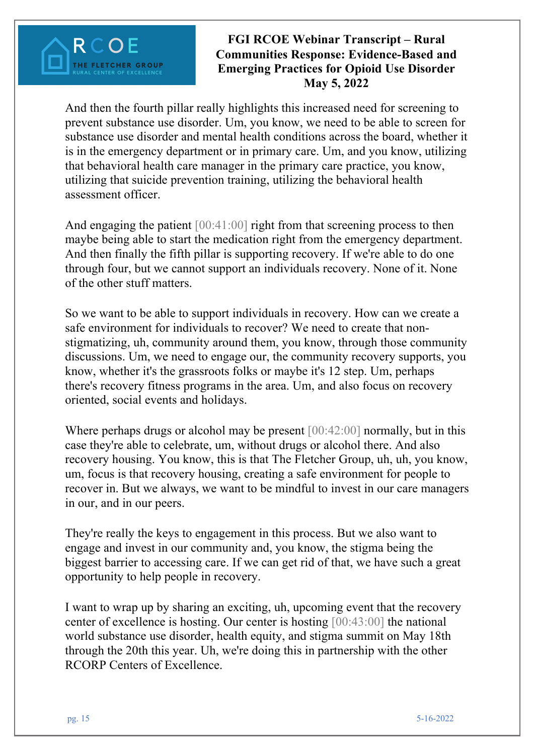### **FGI RCOE Webinar Transcript – Rural Communities Response: Evidence-Based and Emerging Practices for Opioid Use Disorder May 5, 2022**

And then the fourth pillar really highlights this increased need for screening to prevent substance use disorder. Um, you know, we need to be able to screen for substance use disorder and mental health conditions across the board, whether it is in the emergency department or in primary care. Um, and you know, utilizing that behavioral health care manager in the primary care practice, you know, utilizing that suicide prevention training, utilizing the behavioral health assessment officer.

And engaging the patient  $[00:41:00]$  right from that screening process to then maybe being able to start the medication right from the emergency department. And then finally the fifth pillar is supporting recovery. If we're able to do one through four, but we cannot support an individuals recovery. None of it. None of the other stuff matters.

So we want to be able to support individuals in recovery. How can we create a safe environment for individuals to recover? We need to create that nonstigmatizing, uh, community around them, you know, through those community discussions. Um, we need to engage our, the community recovery supports, you know, whether it's the grassroots folks or maybe it's 12 step. Um, perhaps there's recovery fitness programs in the area. Um, and also focus on recovery oriented, social events and holidays.

Where perhaps drugs or alcohol may be present [00:42:00] normally, but in this case they're able to celebrate, um, without drugs or alcohol there. And also recovery housing. You know, this is that The Fletcher Group, uh, uh, you know, um, focus is that recovery housing, creating a safe environment for people to recover in. But we always, we want to be mindful to invest in our care managers in our, and in our peers.

They're really the keys to engagement in this process. But we also want to engage and invest in our community and, you know, the stigma being the biggest barrier to accessing care. If we can get rid of that, we have such a great opportunity to help people in recovery.

I want to wrap up by sharing an exciting, uh, upcoming event that the recovery center of excellence is hosting. Our center is hosting [00:43:00] the national world substance use disorder, health equity, and stigma summit on May 18th through the 20th this year. Uh, we're doing this in partnership with the other RCORP Centers of Excellence.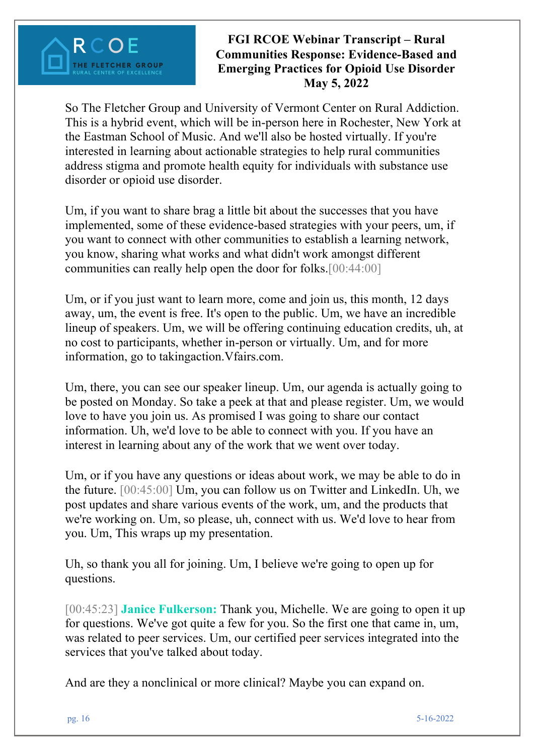

So The Fletcher Group and University of Vermont Center on Rural Addiction. This is a hybrid event, which will be in-person here in Rochester, New York at the Eastman School of Music. And we'll also be hosted virtually. If you're interested in learning about actionable strategies to help rural communities address stigma and promote health equity for individuals with substance use disorder or opioid use disorder.

Um, if you want to share brag a little bit about the successes that you have implemented, some of these evidence-based strategies with your peers, um, if you want to connect with other communities to establish a learning network, you know, sharing what works and what didn't work amongst different communities can really help open the door for folks.[00:44:00]

Um, or if you just want to learn more, come and join us, this month, 12 days away, um, the event is free. It's open to the public. Um, we have an incredible lineup of speakers. Um, we will be offering continuing education credits, uh, at no cost to participants, whether in-person or virtually. Um, and for more information, go to takingaction.Vfairs.com.

Um, there, you can see our speaker lineup. Um, our agenda is actually going to be posted on Monday. So take a peek at that and please register. Um, we would love to have you join us. As promised I was going to share our contact information. Uh, we'd love to be able to connect with you. If you have an interest in learning about any of the work that we went over today.

Um, or if you have any questions or ideas about work, we may be able to do in the future. [00:45:00] Um, you can follow us on Twitter and LinkedIn. Uh, we post updates and share various events of the work, um, and the products that we're working on. Um, so please, uh, connect with us. We'd love to hear from you. Um, This wraps up my presentation.

Uh, so thank you all for joining. Um, I believe we're going to open up for questions.

[00:45:23] **Janice Fulkerson:** Thank you, Michelle. We are going to open it up for questions. We've got quite a few for you. So the first one that came in, um, was related to peer services. Um, our certified peer services integrated into the services that you've talked about today.

And are they a nonclinical or more clinical? Maybe you can expand on.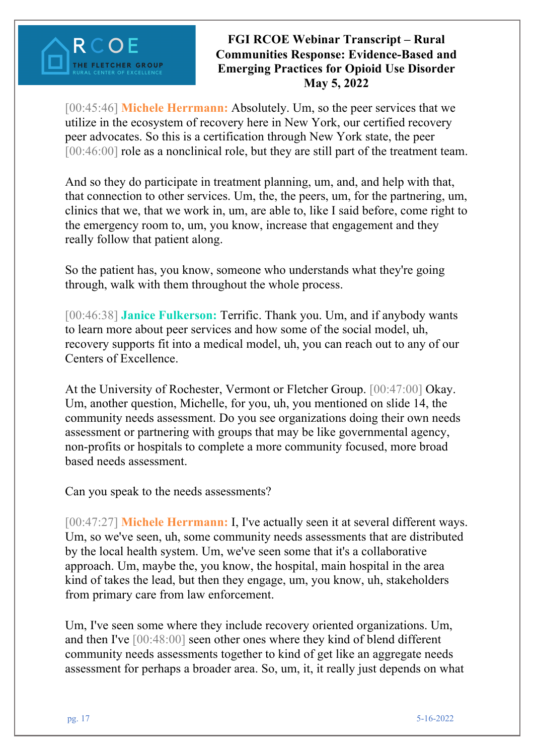

[00:45:46] **Michele Herrmann:** Absolutely. Um, so the peer services that we utilize in the ecosystem of recovery here in New York, our certified recovery peer advocates. So this is a certification through New York state, the peer [00:46:00] role as a nonclinical role, but they are still part of the treatment team.

And so they do participate in treatment planning, um, and, and help with that, that connection to other services. Um, the, the peers, um, for the partnering, um, clinics that we, that we work in, um, are able to, like I said before, come right to the emergency room to, um, you know, increase that engagement and they really follow that patient along.

So the patient has, you know, someone who understands what they're going through, walk with them throughout the whole process.

[00:46:38] **Janice Fulkerson:** Terrific. Thank you. Um, and if anybody wants to learn more about peer services and how some of the social model, uh, recovery supports fit into a medical model, uh, you can reach out to any of our Centers of Excellence.

At the University of Rochester, Vermont or Fletcher Group. [00:47:00] Okay. Um, another question, Michelle, for you, uh, you mentioned on slide 14, the community needs assessment. Do you see organizations doing their own needs assessment or partnering with groups that may be like governmental agency, non-profits or hospitals to complete a more community focused, more broad based needs assessment.

Can you speak to the needs assessments?

[00:47:27] **Michele Herrmann:** I, I've actually seen it at several different ways. Um, so we've seen, uh, some community needs assessments that are distributed by the local health system. Um, we've seen some that it's a collaborative approach. Um, maybe the, you know, the hospital, main hospital in the area kind of takes the lead, but then they engage, um, you know, uh, stakeholders from primary care from law enforcement.

Um, I've seen some where they include recovery oriented organizations. Um, and then I've [00:48:00] seen other ones where they kind of blend different community needs assessments together to kind of get like an aggregate needs assessment for perhaps a broader area. So, um, it, it really just depends on what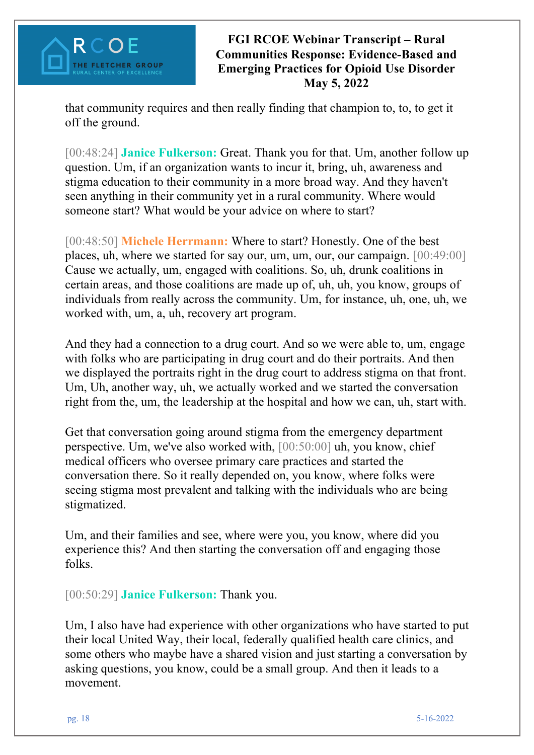### **FGI RCOE Webinar Transcript – Rural Communities Response: Evidence-Based and Emerging Practices for Opioid Use Disorder May 5, 2022**

that community requires and then really finding that champion to, to, to get it off the ground.

[00:48:24] **Janice Fulkerson:** Great. Thank you for that. Um, another follow up question. Um, if an organization wants to incur it, bring, uh, awareness and stigma education to their community in a more broad way. And they haven't seen anything in their community yet in a rural community. Where would someone start? What would be your advice on where to start?

[00:48:50] **Michele Herrmann:** Where to start? Honestly. One of the best places, uh, where we started for say our, um, um, our, our campaign. [00:49:00] Cause we actually, um, engaged with coalitions. So, uh, drunk coalitions in certain areas, and those coalitions are made up of, uh, uh, you know, groups of individuals from really across the community. Um, for instance, uh, one, uh, we worked with, um, a, uh, recovery art program.

And they had a connection to a drug court. And so we were able to, um, engage with folks who are participating in drug court and do their portraits. And then we displayed the portraits right in the drug court to address stigma on that front. Um, Uh, another way, uh, we actually worked and we started the conversation right from the, um, the leadership at the hospital and how we can, uh, start with.

Get that conversation going around stigma from the emergency department perspective. Um, we've also worked with, [00:50:00] uh, you know, chief medical officers who oversee primary care practices and started the conversation there. So it really depended on, you know, where folks were seeing stigma most prevalent and talking with the individuals who are being stigmatized.

Um, and their families and see, where were you, you know, where did you experience this? And then starting the conversation off and engaging those folks.

[00:50:29] **Janice Fulkerson:** Thank you.

Um, I also have had experience with other organizations who have started to put their local United Way, their local, federally qualified health care clinics, and some others who maybe have a shared vision and just starting a conversation by asking questions, you know, could be a small group. And then it leads to a movement.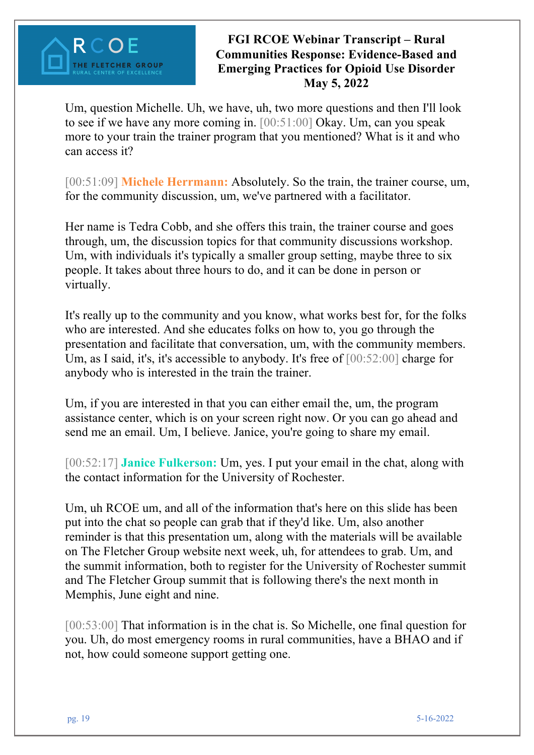

Um, question Michelle. Uh, we have, uh, two more questions and then I'll look to see if we have any more coming in. [00:51:00] Okay. Um, can you speak more to your train the trainer program that you mentioned? What is it and who can access it?

[00:51:09] **Michele Herrmann:** Absolutely. So the train, the trainer course, um, for the community discussion, um, we've partnered with a facilitator.

Her name is Tedra Cobb, and she offers this train, the trainer course and goes through, um, the discussion topics for that community discussions workshop. Um, with individuals it's typically a smaller group setting, maybe three to six people. It takes about three hours to do, and it can be done in person or virtually.

It's really up to the community and you know, what works best for, for the folks who are interested. And she educates folks on how to, you go through the presentation and facilitate that conversation, um, with the community members. Um, as I said, it's, it's accessible to anybody. It's free of [00:52:00] charge for anybody who is interested in the train the trainer.

Um, if you are interested in that you can either email the, um, the program assistance center, which is on your screen right now. Or you can go ahead and send me an email. Um, I believe. Janice, you're going to share my email.

[00:52:17] **Janice Fulkerson:** Um, yes. I put your email in the chat, along with the contact information for the University of Rochester.

Um, uh RCOE um, and all of the information that's here on this slide has been put into the chat so people can grab that if they'd like. Um, also another reminder is that this presentation um, along with the materials will be available on The Fletcher Group website next week, uh, for attendees to grab. Um, and the summit information, both to register for the University of Rochester summit and The Fletcher Group summit that is following there's the next month in Memphis, June eight and nine.

[00:53:00] That information is in the chat is. So Michelle, one final question for you. Uh, do most emergency rooms in rural communities, have a BHAO and if not, how could someone support getting one.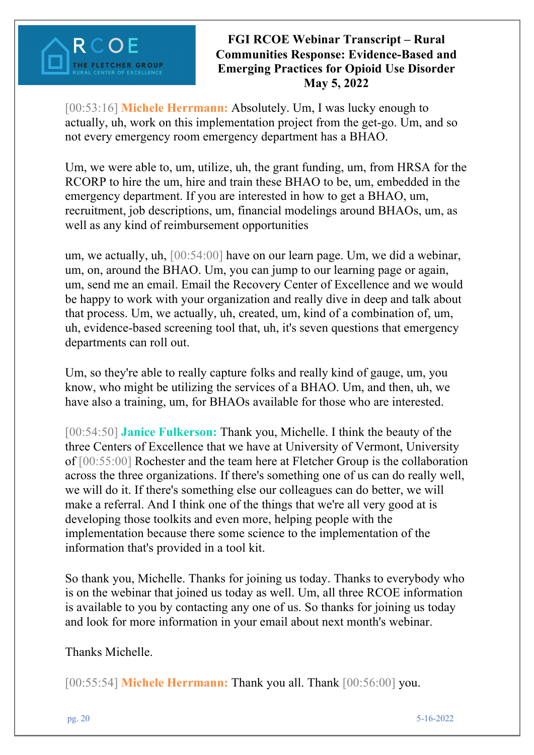

[00:53:16] **Michele Herrmann:** Absolutely. Um, I was lucky enough to actually, uh, work on this implementation project from the get-go. Um, and so not every emergency room emergency department has a BHAO.

Um, we were able to, um, utilize, uh, the grant funding, um, from HRSA for the RCORP to hire the um, hire and train these BHAO to be, um, embedded in the emergency department. If you are interested in how to get a BHAO, um, recruitment, job descriptions, um, financial modelings around BHAOs, um, as well as any kind of reimbursement opportunities

um, we actually, uh, [00:54:00] have on our learn page. Um, we did a webinar, um, on, around the BHAO. Um, you can jump to our learning page or again, um, send me an email. Email the Recovery Center of Excellence and we would be happy to work with your organization and really dive in deep and talk about that process. Um, we actually, uh, created, um, kind of a combination of, um, uh, evidence-based screening tool that, uh, it's seven questions that emergency departments can roll out.

Um, so they're able to really capture folks and really kind of gauge, um, you know, who might be utilizing the services of a BHAO. Um, and then, uh, we have also a training, um, for BHAOs available for those who are interested.

[00:54:50] **Janice Fulkerson:** Thank you, Michelle. I think the beauty of the three Centers of Excellence that we have at University of Vermont, University of [00:55:00] Rochester and the team here at Fletcher Group is the collaboration across the three organizations. If there's something one of us can do really well, we will do it. If there's something else our colleagues can do better, we will make a referral. And I think one of the things that we're all very good at is developing those toolkits and even more, helping people with the implementation because there some science to the implementation of the information that's provided in a tool kit.

So thank you, Michelle. Thanks for joining us today. Thanks to everybody who is on the webinar that joined us today as well. Um, all three RCOE information is available to you by contacting any one of us. So thanks for joining us today and look for more information in your email about next month's webinar.

Thanks Michelle.

[00:55:54] **Michele Herrmann:** Thank you all. Thank [00:56:00] you.